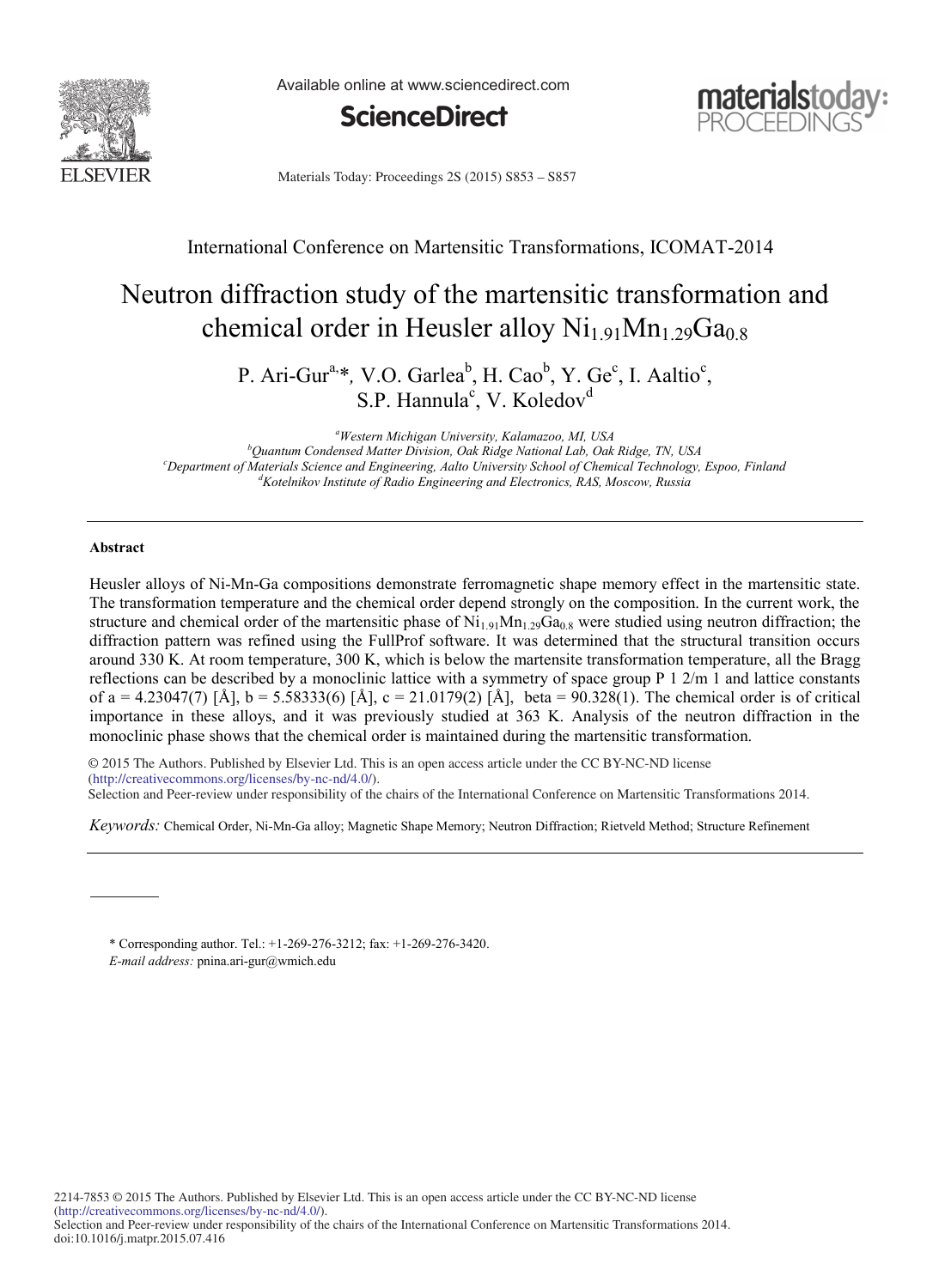

Available online at www.sciencedirect.com





Materials Today: Proceedings 2S (2015) S853 - S857

# International Conference on Martensitic Transformations, ICOMAT-2014

# Neutron diffraction study of the martensitic transformation and chemical order in Heusler alloy  $Ni<sub>1.91</sub>Mn<sub>1.29</sub>Ga<sub>0.8</sub>$

P. Ari-Gur<sup>a,\*</sup>, V.O. Garlea<sup>b</sup>, H. Cao<sup>b</sup>, Y. Ge<sup>c</sup>, I. Aaltio<sup>c</sup>, S.P. Hannula<sup>c</sup>, V. Koledov<sup>d</sup>

*a Western Michigan University, Kalamazoo, MI, USA b Quantum Condensed Matter Division, Oak Ridge National Lab, Oak Ridge, TN, USA c Department of Materials Science and Engineering, Aalto University School of Chemical Technology, Espoo, Finland d Kotelnikov Institute of Radio Engineering and Electronics, RAS, Moscow, Russia*

# **Abstract**

Heusler alloys of Ni-Mn-Ga compositions demonstrate ferromagnetic shape memory effect in the martensitic state. The transformation temperature and the chemical order depend strongly on the composition. In the current work, the structure and chemical order of the martensitic phase of  $Ni_{1.91}Mn_{1.29}Ga_{0.8}$  were studied using neutron diffraction; the diffraction pattern was refined using the FullProf software. It was determined that the structural transition occurs around 330 K. At room temperature, 300 K, which is below the martensite transformation temperature, all the Bragg reflections can be described by a monoclinic lattice with a symmetry of space group P 1 2/m 1 and lattice constants of a = 4.23047(7) [Å], b = 5.58333(6) [Å], c = 21.0179(2) [Å], beta = 90.328(1). The chemical order is of critical importance in these alloys, and it was previously studied at 363 K. Analysis of the neutron diffraction in the monoclinic phase shows that the chemical order is maintained during the martensitic transformation.

© 2014 The Authors. Published by Elsevier Ltd. © 2015 The Authors. Published by Elsevier Ltd. This is an open access article under the CC BY-NC-ND license SELECTION AND PEER-REVIEW UNDER REVIEW UNDER TRANSFORMATION CONFERENCE ON THE INTERNATIONAL CONFERENCE ON MARTENSITY OF TRANSFORMATIONS OF TRANSFORMATIONS OF TRANSFORMATIONS OF TRANSFORMATIONS OF THE INTERNATIONAL CONFEREN Selection and Peer-review under responsibility of the chairs of the International Conference on Martensitic Transformations 2014.

*Keywords:* Chemical Order, Ni-Mn-Ga alloy; Magnetic Shape Memory; Neutron Diffraction; Rietveld Method; Structure Refinement

\* Corresponding author. Tel.: +1-269-276-3212; fax: +1-269-276-3420.

*E-mail address:* pnina.ari-gur@wmich.edu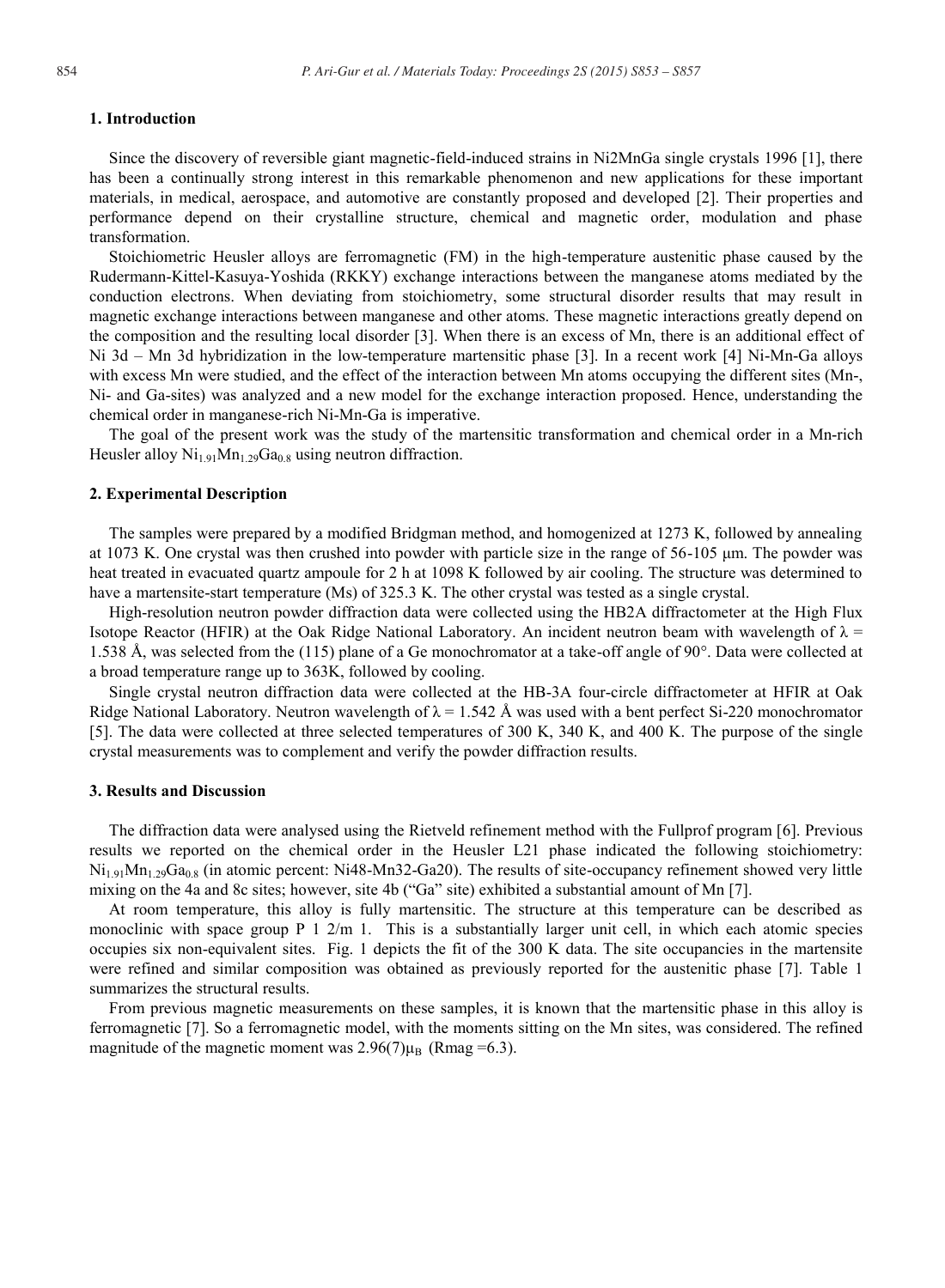# **1. Introduction**

Since the discovery of reversible giant magnetic-field-induced strains in Ni2MnGa single crystals 1996 [1], there has been a continually strong interest in this remarkable phenomenon and new applications for these important materials, in medical, aerospace, and automotive are constantly proposed and developed [2]. Their properties and performance depend on their crystalline structure, chemical and magnetic order, modulation and phase transformation.

Stoichiometric Heusler alloys are ferromagnetic (FM) in the high-temperature austenitic phase caused by the Rudermann-Kittel-Kasuya-Yoshida (RKKY) exchange interactions between the manganese atoms mediated by the conduction electrons. When deviating from stoichiometry, some structural disorder results that may result in magnetic exchange interactions between manganese and other atoms. These magnetic interactions greatly depend on the composition and the resulting local disorder [3]. When there is an excess of Mn, there is an additional effect of Ni 3d – Mn 3d hybridization in the low-temperature martensitic phase [3]. In a recent work [4] Ni-Mn-Ga alloys with excess Mn were studied, and the effect of the interaction between Mn atoms occupying the different sites (Mn-, Ni- and Ga-sites) was analyzed and a new model for the exchange interaction proposed. Hence, understanding the chemical order in manganese-rich Ni-Mn-Ga is imperative.

The goal of the present work was the study of the martensitic transformation and chemical order in a Mn-rich Heusler alloy  $Ni<sub>1.91</sub>Mn<sub>1.29</sub>Ga<sub>0.8</sub>$  using neutron diffraction.

#### **2. Experimental Description**

The samples were prepared by a modified Bridgman method, and homogenized at 1273 K, followed by annealing at 1073 K. One crystal was then crushed into powder with particle size in the range of 56-105 μm. The powder was heat treated in evacuated quartz ampoule for 2 h at 1098 K followed by air cooling. The structure was determined to have a martensite-start temperature (Ms) of 325.3 K. The other crystal was tested as a single crystal.

High-resolution neutron powder diffraction data were collected using the HB2A diffractometer at the High Flux Isotope Reactor (HFIR) at the Oak Ridge National Laboratory. An incident neutron beam with wavelength of  $\lambda$  = 1.538 Å, was selected from the (115) plane of a Ge monochromator at a take-off angle of 90°. Data were collected at a broad temperature range up to 363K, followed by cooling.

Single crystal neutron diffraction data were collected at the HB-3A four-circle diffractometer at HFIR at Oak Ridge National Laboratory. Neutron wavelength of  $\lambda = 1.542$  Å was used with a bent perfect Si-220 monochromator [5]. The data were collected at three selected temperatures of 300 K, 340 K, and 400 K. The purpose of the single crystal measurements was to complement and verify the powder diffraction results.

#### **3. Results and Discussion**

The diffraction data were analysed using the Rietveld refinement method with the Fullprof program [6]. Previous results we reported on the chemical order in the Heusler L21 phase indicated the following stoichiometry:  $Ni_{1.91}Mn_{1.29}Ga_{0.8}$  (in atomic percent: Ni48-Mn32-Ga20). The results of site-occupancy refinement showed very little mixing on the 4a and 8c sites; however, site 4b ("Ga" site) exhibited a substantial amount of Mn [7].

At room temperature, this alloy is fully martensitic. The structure at this temperature can be described as monoclinic with space group P 1 2/m 1. This is a substantially larger unit cell, in which each atomic species occupies six non-equivalent sites. Fig. 1 depicts the fit of the 300 K data. The site occupancies in the martensite were refined and similar composition was obtained as previously reported for the austenitic phase [7]. Table 1 summarizes the structural results.

From previous magnetic measurements on these samples, it is known that the martensitic phase in this alloy is ferromagnetic [7]. So a ferromagnetic model, with the moments sitting on the Mn sites, was considered. The refined magnitude of the magnetic moment was  $2.96(7)\mu_B$  (Rmag =6.3).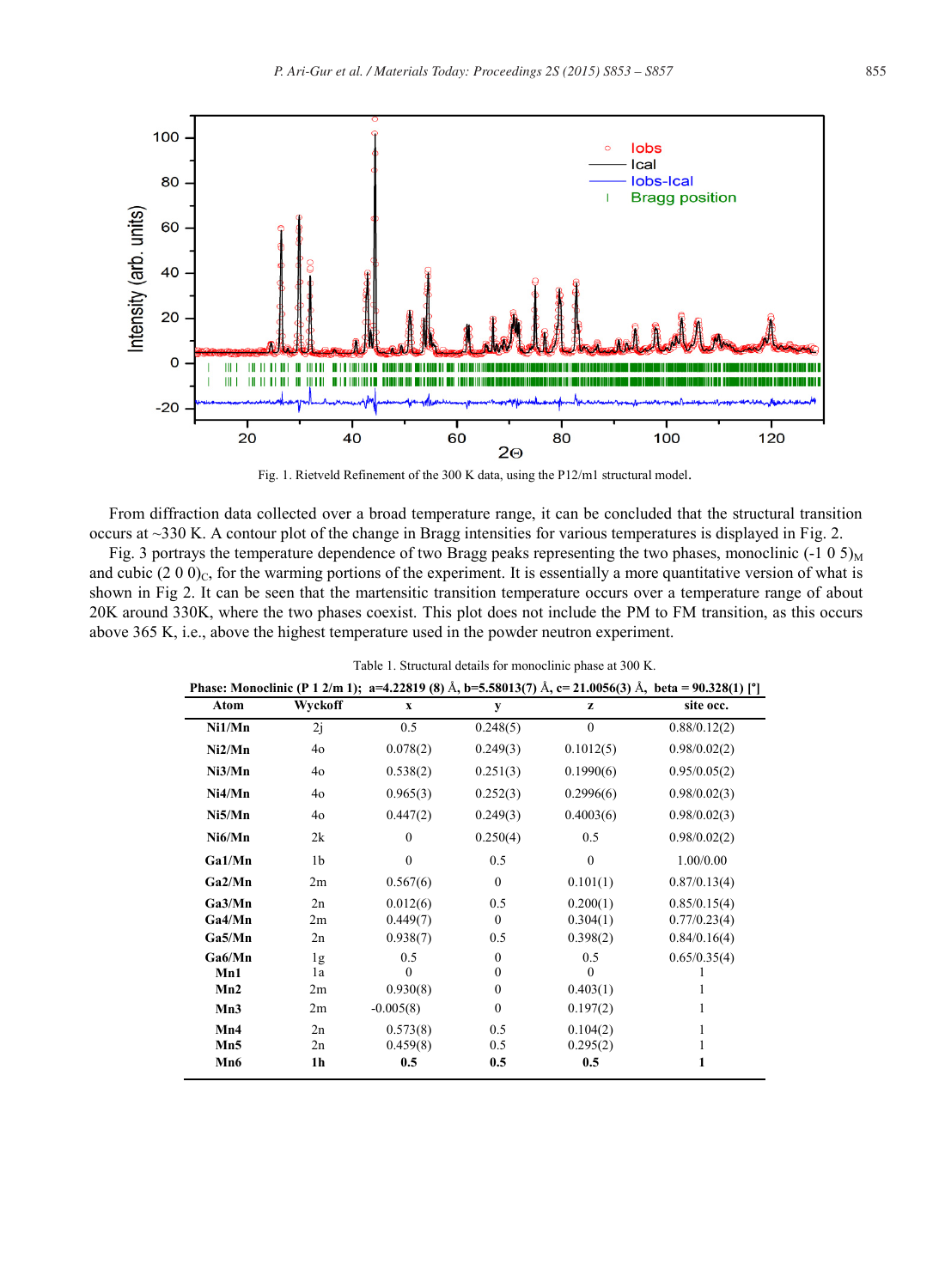

Fig. 1. Rietveld Refinement of the 300 K data, using the P12/m1 structural model.

From diffraction data collected over a broad temperature range, it can be concluded that the structural transition occurs at ~330 K. A contour plot of the change in Bragg intensities for various temperatures is displayed in Fig. 2.

Fig. 3 portrays the temperature dependence of two Bragg peaks representing the two phases, monoclinic  $(-1\ 0\ 5)_{\rm M}$ and cubic (2 0 0)<sub>C</sub>, for the warming portions of the experiment. It is essentially a more quantitative version of what is shown in Fig 2. It can be seen that the martensitic transition temperature occurs over a temperature range of about 20K around 330K, where the two phases coexist. This plot does not include the PM to FM transition, as this occurs above 365 K, i.e., above the highest temperature used in the powder neutron experiment.

| Phase: Monoclinic (P 1 2/m 1); a=4.22819 (8) Å, b=5.58013(7) Å, c= 21.0056(3) Å, beta = 90.328(1) [°] |                |              |                  |              |              |
|-------------------------------------------------------------------------------------------------------|----------------|--------------|------------------|--------------|--------------|
| Atom                                                                                                  | Wyckoff        | $\mathbf X$  | y                | z            | site occ.    |
| Ni1/Mn                                                                                                | 2i             | 0.5          | 0.248(5)         | $\mathbf{0}$ | 0.88/0.12(2) |
| Ni2/Mn                                                                                                | 40             | 0.078(2)     | 0.249(3)         | 0.1012(5)    | 0.98/0.02(2) |
| Ni3/Mn                                                                                                | 40             | 0.538(2)     | 0.251(3)         | 0.1990(6)    | 0.95/0.05(2) |
| Ni4/Mn                                                                                                | 40             | 0.965(3)     | 0.252(3)         | 0.2996(6)    | 0.98/0.02(3) |
| Ni5/Mn                                                                                                | 40             | 0.447(2)     | 0.249(3)         | 0.4003(6)    | 0.98/0.02(3) |
| Ni6/Mn                                                                                                | 2k             | $\theta$     | 0.250(4)         | 0.5          | 0.98/0.02(2) |
| Ga1/Mn                                                                                                | 1b             | $\mathbf{0}$ | 0.5              | $\mathbf{0}$ | 1.00/0.00    |
| Ga2/Mn                                                                                                | 2m             | 0.567(6)     | $\mathbf{0}$     | 0.101(1)     | 0.87/0.13(4) |
| Ga3/Mn                                                                                                | 2n             | 0.012(6)     | 0.5              | 0.200(1)     | 0.85/0.15(4) |
| Ga4/Mn                                                                                                | 2m             | 0.449(7)     | $\Omega$         | 0.304(1)     | 0.77/0.23(4) |
| Ga5/Mn                                                                                                | 2n             | 0.938(7)     | 0.5              | 0.398(2)     | 0.84/0.16(4) |
| Ga6/Mn                                                                                                | 1g             | 0.5          | $\mathbf{0}$     | 0.5          | 0.65/0.35(4) |
| Mn1                                                                                                   | 1a             | $\Omega$     | $\mathbf{0}$     | $\Omega$     |              |
| Mn2                                                                                                   | 2m             | 0.930(8)     | $\boldsymbol{0}$ | 0.403(1)     |              |
| Mn3                                                                                                   | 2m             | $-0.005(8)$  | $\mathbf{0}$     | 0.197(2)     | 1            |
| Mn4                                                                                                   | 2n             | 0.573(8)     | 0.5              | 0.104(2)     | 1            |
| Mn5                                                                                                   | 2n             | 0.459(8)     | 0.5              | 0.295(2)     |              |
| Mn6                                                                                                   | 1 <sub>h</sub> | 0.5          | 0.5              | 0.5          |              |

Table 1. Structural details for monoclinic phase at 300 K.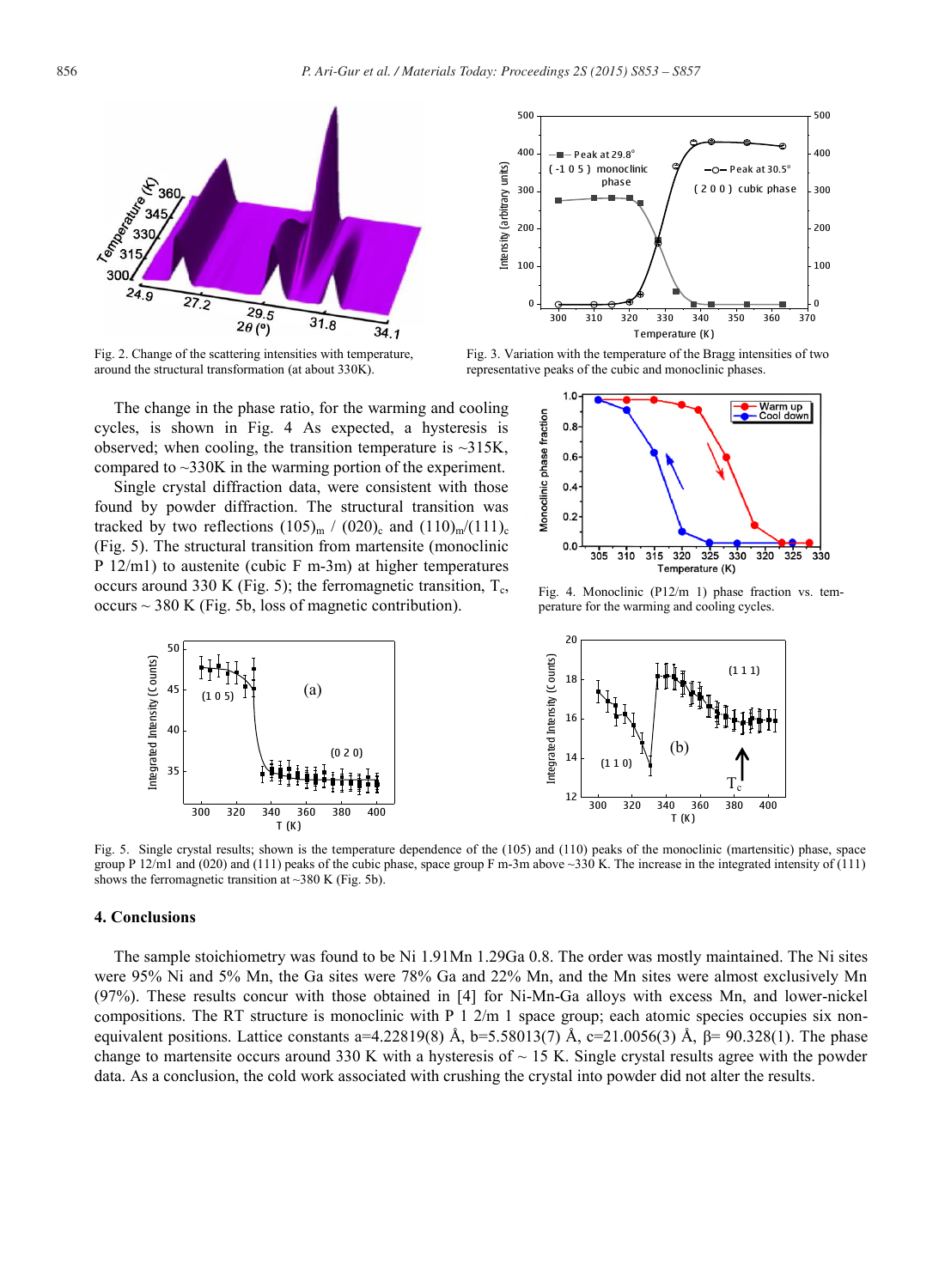

Fig. 2. Change of the scattering intensities with temperature, around the structural transformation (at about 330K).

The change in the phase ratio, for the warming and cooling cycles, is shown in Fig. 4 As expected, a hysteresis is observed; when cooling, the transition temperature is  $\sim$ 315K, compared to ~330K in the warming portion of the experiment.

Single crystal diffraction data, were consistent with those found by powder diffraction. The structural transition was tracked by two reflections  $(105)_{m}$  /  $(020)_{c}$  and  $(110)_{m}/(111)_{c}$ (Fig. 5). The structural transition from martensite (monoclinic P 12/m1) to austenite (cubic F m-3m) at higher temperatures occurs around 330 K (Fig. 5); the ferromagnetic transition,  $T_c$ , occurs  $\sim$  380 K (Fig. 5b, loss of magnetic contribution).



Fig. 3. Variation with the temperature of the Bragg intensities of two representative peaks of the cubic and monoclinic phases.



Fig. 4. Monoclinic (P12/m 1) phase fraction vs. temperature for the warming and cooling cycles.



Fig. 5. Single crystal results; shown is the temperature dependence of the (105) and (110) peaks of the monoclinic (martensitic) phase, space group P  $12/ml$  and (020) and (111) peaks of the cubic phase, space group F m-3m above ~330 K. The increase in the integrated intensity of (111) shows the ferromagnetic transition at  $\sim$ 380 K (Fig. 5b).

#### **4. Conclusions**

The sample stoichiometry was found to be Ni 1.91Mn 1.29Ga 0.8. The order was mostly maintained. The Ni sites were 95% Ni and 5% Mn, the Ga sites were 78% Ga and 22% Mn, and the Mn sites were almost exclusively Mn (97%). These results concur with those obtained in [4] for Ni-Mn-Ga alloys with excess Mn, and lower-nickel compositions. The RT structure is monoclinic with P 1 2/m 1 space group; each atomic species occupies six nonequivalent positions. Lattice constants a=4.22819(8) Å, b=5.58013(7) Å, c=21.0056(3) Å, β= 90.328(1). The phase change to martensite occurs around 330 K with a hysteresis of  $\sim$  15 K. Single crystal results agree with the powder data. As a conclusion, the cold work associated with crushing the crystal into powder did not alter the results.